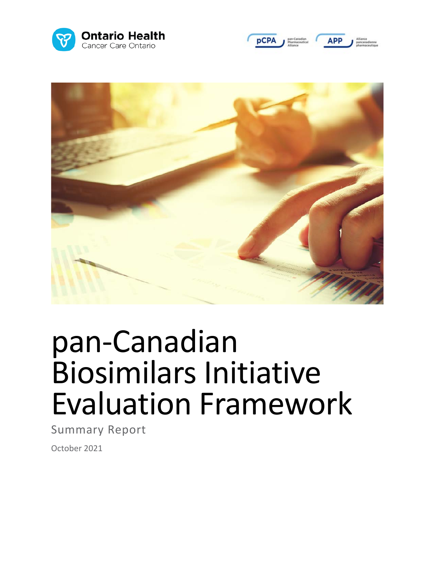





# pan-Canadian Biosimilars Initiative Evaluation Framework

Summary Report

October 2021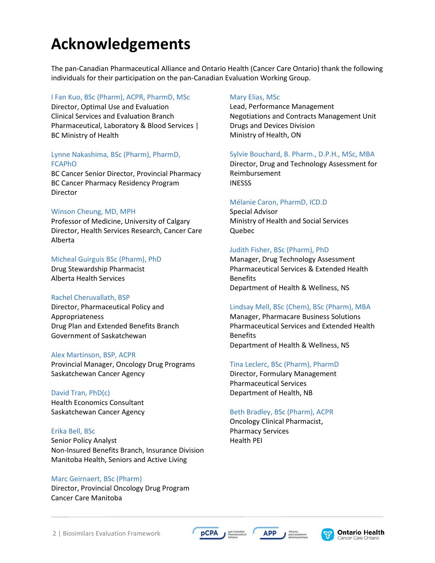## **Acknowledgements**

The pan-Canadian Pharmaceutical Alliance and Ontario Health (Cancer Care Ontario) thank the following individuals for their participation on the pan-Canadian Evaluation Working Group.

#### I Fan Kuo, BSc (Pharm), ACPR, PharmD, MSc

Director, Optimal Use and Evaluation Clinical Services and Evaluation Branch Pharmaceutical, Laboratory & Blood Services | BC Ministry of Health

#### Lynne Nakashima, BSc (Pharm), PharmD, FCAPhO

BC Cancer Senior Director, Provincial Pharmacy BC Cancer Pharmacy Residency Program Director

#### Winson Cheung, MD, MPH

Professor of Medicine, University of Calgary Director, Health Services Research, Cancer Care Alberta

#### Micheal Guirguis BSc (Pharm), PhD

Drug Stewardship Pharmacist Alberta Health Services

#### Rachel Cheruvallath, BSP

Director, Pharmaceutical Policy and Appropriateness Drug Plan and Extended Benefits Branch Government of Saskatchewan

#### Alex Martinson, BSP, ACPR

Provincial Manager, Oncology Drug Programs Saskatchewan Cancer Agency

#### David Tran, PhD(c) Health Economics Consultant Saskatchewan Cancer Agency

#### Erika Bell, BSc

Senior Policy Analyst Non-Insured Benefits Branch, Insurance Division Manitoba Health, Seniors and Active Living

#### Marc Geirnaert, BSc (Pharm)

Director, Provincial Oncology Drug Program Cancer Care Manitoba

#### Mary Elias, MSc

Lead, Performance Management Negotiations and Contracts Management Unit Drugs and Devices Division Ministry of Health, ON

#### Sylvie Bouchard, B. Pharm., D.P.H., MSc, MBA

Director, Drug and Technology Assessment for Reimbursement INESSS

#### Mélanie Caron, PharmD, ICD.D

Special Advisor Ministry of Health and Social Services Quebec

#### Judith Fisher, BSc (Pharm), PhD

Manager, Drug Technology Assessment Pharmaceutical Services & Extended Health Benefits Department of Health & Wellness, NS

#### Lindsay Mell, BSc (Chem), BSc (Pharm), MBA

Manager, Pharmacare Business Solutions Pharmaceutical Services and Extended Health **Benefits** Department of Health & Wellness, NS

#### Tina Leclerc, BSc (Pharm), PharmD

Director, Formulary Management Pharmaceutical Services Department of Health, NB

#### Beth Bradley, BSc (Pharm), ACPR

Oncology Clinical Pharmacist, Pharmacy Services Health PEI

**APP** 



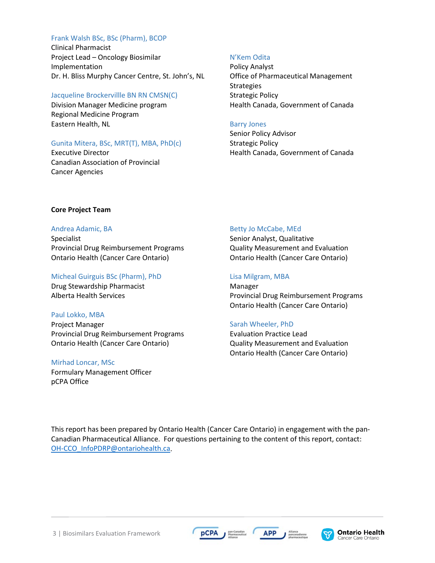#### Frank Walsh BSc, BSc (Pharm), BCOP

Clinical Pharmacist Project Lead – Oncology Biosimilar Implementation Dr. H. Bliss Murphy Cancer Centre, St. John's, NL

#### Jacqueline Brockervillle BN RN CMSN(C)

Division Manager Medicine program Regional Medicine Program Eastern Health, NL

#### Gunita Mitera, BSc, MRT(T), MBA, PhD(c)

Executive Director Canadian Association of Provincial Cancer Agencies

#### N'Kem Odita

Policy Analyst Office of Pharmaceutical Management Strategies Strategic Policy Health Canada, Government of Canada

#### Barry Jones

Senior Policy Advisor Strategic Policy Health Canada, Government of Canada

#### **Core Project Team**

#### Andrea Adamic, BA

Specialist Provincial Drug Reimbursement Programs Ontario Health (Cancer Care Ontario)

#### Micheal Guirguis BSc (Pharm), PhD

Drug Stewardship Pharmacist Alberta Health Services

#### Paul Lokko, MBA

Project Manager Provincial Drug Reimbursement Programs Ontario Health (Cancer Care Ontario)

#### Mirhad Loncar, MSc

Formulary Management Officer pCPA Office

#### Betty Jo McCabe, MEd

Senior Analyst, Qualitative Quality Measurement and Evaluation Ontario Health (Cancer Care Ontario)

#### Lisa Milgram, MBA

Manager Provincial Drug Reimbursement Programs Ontario Health (Cancer Care Ontario)

#### Sarah Wheeler, PhD

Evaluation Practice Lead Quality Measurement and Evaluation Ontario Health (Cancer Care Ontario)

This report has been prepared by Ontario Health (Cancer Care Ontario) in engagement with the pan-Canadian Pharmaceutical Alliance. For questions pertaining to the content of this report, contact: [OH-CCO\\_InfoPDRP@ontariohealth.ca.](mailto:OH-CCO_InfoPDRP@ontariohealth.ca)





**APP**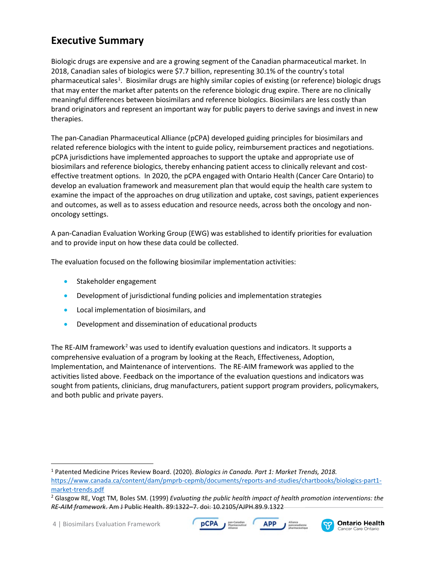## **Executive Summary**

Biologic drugs are expensive and are a growing segment of the Canadian pharmaceutical market. In 2018, Canadian sales of biologics were \$7.7 billion, representing 30.1% of the country's total pharmaceutical sales<sup>[1](#page-8-0)</sup>. Biosimilar drugs are highly similar copies of existing (or reference) biologic drugs that may enter the market after patents on the reference biologic drug expire. There are no clinically meaningful differences between biosimilars and reference biologics. Biosimilars are less costly than brand originators and represent an important way for public payers to derive savings and invest in new therapies.

The pan-Canadian Pharmaceutical Alliance (pCPA) developed guiding principles for biosimilars and related reference biologics with the intent to guide policy, reimbursement practices and negotiations. pCPA jurisdictions have implemented approaches to support the uptake and appropriate use of biosimilars and reference biologics, thereby enhancing patient access to clinically relevant and costeffective treatment options. In 2020, the pCPA engaged with Ontario Health (Cancer Care Ontario) to develop an evaluation framework and measurement plan that would equip the health care system to examine the impact of the approaches on drug utilization and uptake, cost savings, patient experiences and outcomes, as well as to assess education and resource needs, across both the oncology and nononcology settings.

A pan-Canadian Evaluation Working Group (EWG) was established to identify priorities for evaluation and to provide input on how these data could be collected.

The evaluation focused on the following biosimilar implementation activities:

- Stakeholder engagement
- Development of jurisdictional funding policies and implementation strategies
- Local implementation of biosimilars, and
- Development and dissemination of educational products

The RE-AIM framework<sup>[2](#page-3-0)</sup> was used to identify evaluation questions and indicators. It supports a comprehensive evaluation of a program by looking at the Reach, Effectiveness, Adoption, Implementation, and Maintenance of interventions. The RE-AIM framework was applied to the activities listed above. Feedback on the importance of the evaluation questions and indicators was sought from patients, clinicians, drug manufacturers, patient support program providers, policymakers, and both public and private payers.





 <sup>1</sup> Patented Medicine Prices Review Board. (2020). *Biologics in Canada. Part 1: Market Trends, 2018.* [https://www.canada.ca/content/dam/pmprb-cepmb/documents/reports-and-studies/chartbooks/biologics-part1](https://www.canada.ca/content/dam/pmprb-cepmb/documents/reports-and-studies/chartbooks/biologics-part1-market-trends.pdf) [market-trends.pdf](https://www.canada.ca/content/dam/pmprb-cepmb/documents/reports-and-studies/chartbooks/biologics-part1-market-trends.pdf)

<span id="page-3-0"></span><sup>2</sup> Glasgow RE, Vogt TM, Boles SM. (1999) *Evaluating the public health impact of health promotion interventions: the RE-AIM framework*. Am J Public Health. 89:1322–7. doi: 10.2105/AJPH.89.9.1322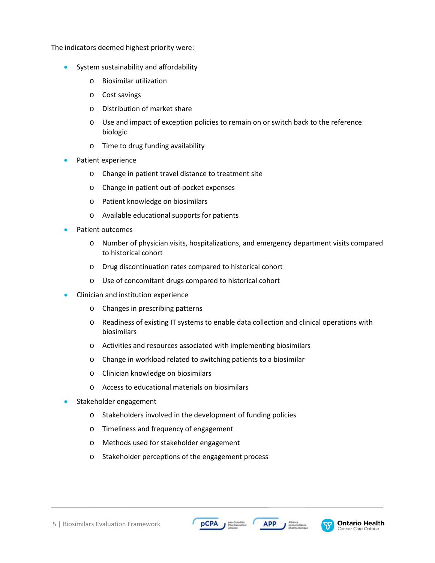The indicators deemed highest priority were:

- System sustainability and affordability
	- o Biosimilar utilization
	- o Cost savings
	- o Distribution of market share
	- o Use and impact of exception policies to remain on or switch back to the reference biologic
	- o Time to drug funding availability
- Patient experience
	- o Change in patient travel distance to treatment site
	- o Change in patient out-of-pocket expenses
	- o Patient knowledge on biosimilars
	- o Available educational supports for patients
- Patient outcomes
	- o Number of physician visits, hospitalizations, and emergency department visits compared to historical cohort
	- o Drug discontinuation rates compared to historical cohort
	- o Use of concomitant drugs compared to historical cohort
- Clinician and institution experience
	- o Changes in prescribing patterns
	- o Readiness of existing IT systems to enable data collection and clinical operations with biosimilars
	- o Activities and resources associated with implementing biosimilars
	- o Change in workload related to switching patients to a biosimilar
	- o Clinician knowledge on biosimilars
	- o Access to educational materials on biosimilars
- Stakeholder engagement
	- o Stakeholders involved in the development of funding policies

**pCPA** 

- o Timeliness and frequency of engagement
- o Methods used for stakeholder engagement
- o Stakeholder perceptions of the engagement process





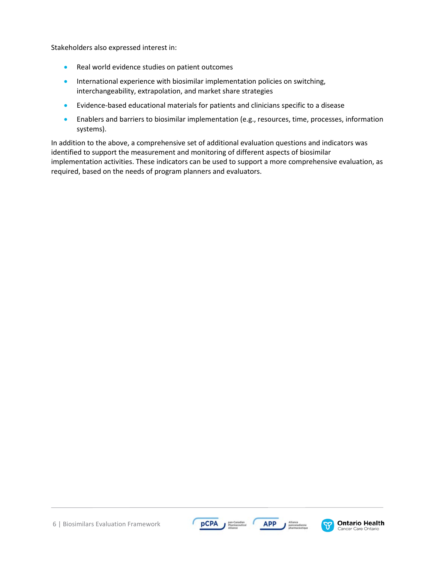Stakeholders also expressed interest in:

- Real world evidence studies on patient outcomes
- International experience with biosimilar implementation policies on switching, interchangeability, extrapolation, and market share strategies
- Evidence-based educational materials for patients and clinicians specific to a disease
- Enablers and barriers to biosimilar implementation (e.g., resources, time, processes, information systems).

In addition to the above, a comprehensive set of additional evaluation questions and indicators was identified to support the measurement and monitoring of different aspects of biosimilar implementation activities. These indicators can be used to support a more comprehensive evaluation, as required, based on the needs of program planners and evaluators.



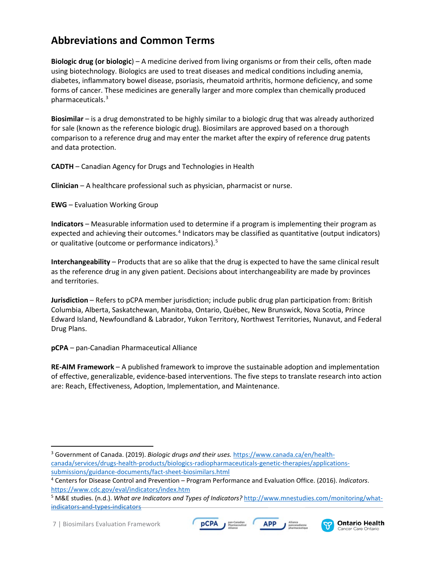## **Abbreviations and Common Terms**

**Biologic drug (or biologic**) – A medicine derived from living organisms or from their cells, often made using biotechnology. Biologics are used to treat diseases and medical conditions including anemia, diabetes, inflammatory bowel disease, psoriasis, rheumatoid arthritis, hormone deficiency, and some forms of cancer. These medicines are generally larger and more complex than chemically produced pharmaceuticals.[3](#page-6-0)

**Biosimilar** – is a drug demonstrated to be highly similar to a biologic drug that was already authorized for sale (known as the reference biologic drug). Biosimilars are approved based on a thorough comparison to a reference drug and may enter the market after the expiry of reference drug patents and data protection.

**CADTH** – Canadian Agency for Drugs and Technologies in Health

**Clinician** – A healthcare professional such as physician, pharmacist or nurse.

**EWG** – Evaluation Working Group

**Indicators** – Measurable information used to determine if a program is implementing their program as expected and achieving their outcomes.<sup>[4](#page-6-1)</sup> Indicators may be classified as quantitative (output indicators) or qualitative (outcome or performance indicators).<sup>[5](#page-6-2)</sup>

**Interchangeability** – Products that are so alike that the drug is expected to have the same clinical result as the reference drug in any given patient. Decisions about interchangeability are made by provinces and territories.

**Jurisdiction** – Refers to pCPA member jurisdiction; include public drug plan participation from: British Columbia, Alberta, Saskatchewan, Manitoba, Ontario, Québec, New Brunswick, Nova Scotia, Prince Edward Island, Newfoundland & Labrador, Yukon Territory, Northwest Territories, Nunavut, and Federal Drug Plans.

**pCPA** – pan-Canadian Pharmaceutical Alliance

**RE-AIM Framework** – A published framework to improve the sustainable adoption and implementation of effective, generalizable, evidence-based interventions. The five steps to translate research into action are: Reach, Effectiveness, Adoption, Implementation, and Maintenance.





<span id="page-6-0"></span> <sup>3</sup> Government of Canada. (2019). *Biologic drugs and their uses.* [https://www.canada.ca/en/health](https://www.canada.ca/en/health-canada/services/drugs-health-products/biologics-radiopharmaceuticals-genetic-therapies/applications-submissions/guidance-documents/fact-sheet-biosimilars.html)[canada/services/drugs-health-products/biologics-radiopharmaceuticals-genetic-therapies/applications](https://www.canada.ca/en/health-canada/services/drugs-health-products/biologics-radiopharmaceuticals-genetic-therapies/applications-submissions/guidance-documents/fact-sheet-biosimilars.html)[submissions/guidance-documents/fact-sheet-biosimilars.html](https://www.canada.ca/en/health-canada/services/drugs-health-products/biologics-radiopharmaceuticals-genetic-therapies/applications-submissions/guidance-documents/fact-sheet-biosimilars.html)

<span id="page-6-1"></span><sup>4</sup> Centers for Disease Control and Prevention – Program Performance and Evaluation Office. (2016). *Indicators*. <https://www.cdc.gov/eval/indicators/index.htm>

<span id="page-6-2"></span><sup>5</sup> M&E studies. (n.d.). *What are Indicators and Types of Indicators?* [http://www.mnestudies.com/monitoring/what](http://www.mnestudies.com/monitoring/what-indicators-and-types-indicators)[indicators-and-types-indicators](http://www.mnestudies.com/monitoring/what-indicators-and-types-indicators)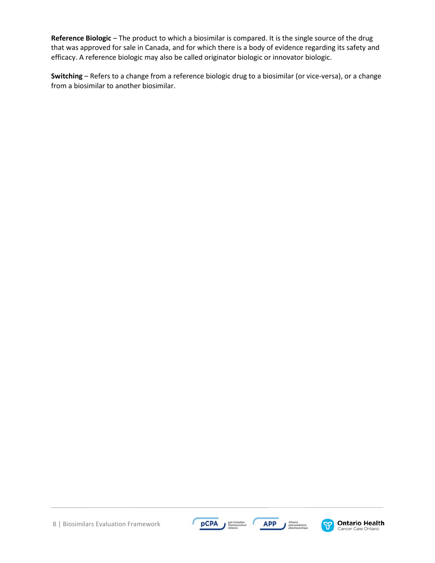**Reference Biologic** – The product to which a biosimilar is compared. It is the single source of the drug that was approved for sale in Canada, and for which there is a body of evidence regarding its safety and efficacy. A reference biologic may also be called originator biologic or innovator biologic.

**Switching** – Refers to a change from a reference biologic drug to a biosimilar (or vice-versa), or a change from a biosimilar to another biosimilar.

8 | Biosimilars Evaluation Framework





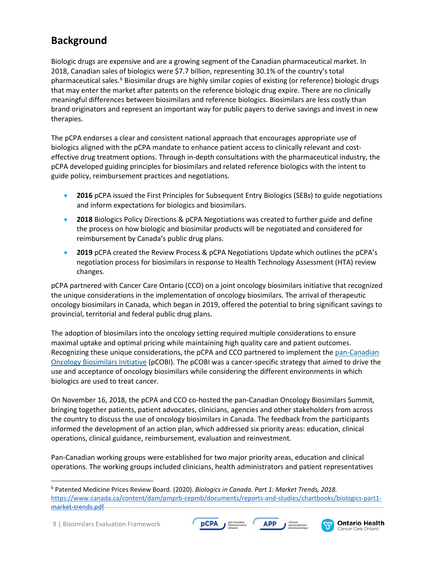## **Background**

Biologic drugs are expensive and are a growing segment of the Canadian pharmaceutical market. In 2018, Canadian sales of biologics were \$7.7 billion, representing 30.1% of the country's total pharmaceutical sales.<sup>[6](#page-8-1)</sup> Biosimilar drugs are highly similar copies of existing (or reference) biologic drugs that may enter the market after patents on the reference biologic drug expire. There are no clinically meaningful differences between biosimilars and reference biologics. Biosimilars are less costly than brand originators and represent an important way for public payers to derive savings and invest in new therapies.

The pCPA endorses a clear and consistent national approach that encourages appropriate use of biologics aligned with the pCPA mandate to enhance patient access to clinically relevant and costeffective drug treatment options. Through in-depth consultations with the pharmaceutical industry, the pCPA developed guiding principles for biosimilars and related reference biologics with the intent to guide policy, reimbursement practices and negotiations.

- **2016** pCPA issued the [First Principles for Subsequent Entry Biologics \(SEBs\)](https://www.pcpacanada.ca/sites/default/files/SEB%20First%20Principles%2020160401.pdf) to guide negotiations and inform expectations for biologics and biosimilars.
- **2018** [Biologics Policy Directions & pCPA Negotiations](https://www.pcpacanada.ca/sites/default/files/aoda/Biologics_Policy_Directions_&_pCPA_Negotiations_EN_FINAL-s.pdf) was created to further guide and define the process on how biologic and biosimilar products will be negotiated and considered for reimbursement by Canada's public drug plans.
- **2019** pCPA created the [Review Process & pCPA Negotiations Update](http://www.canadaspremiers.ca/wp-content/uploads/2019/09/Biosimilars-Review_Process_and_pCPA_Negotiations_Update.pdf) which outlines the pCPA's negotiation process for biosimilars in response to Health Technology Assessment (HTA) review changes.

pCPA partnered with Cancer Care Ontario (CCO) on a joint oncology biosimilars initiative that recognized the unique considerations in the implementation of oncology biosimilars. The arrival of therapeutic oncology biosimilars in Canada, which began in 2019, offered the potential to bring significant savings to provincial, territorial and federal public drug plans.

The adoption of biosimilars into the oncology setting required multiple considerations to ensure maximal uptake and optimal pricing while maintaining high quality care and patient outcomes. Recognizing these unique considerations, the pCPA and CCO partnered to implement the [pan-Canadian](https://www.cancercareontario.ca/en/programs/provincial-drug-reimbursement/oncology-biosimilars-initiative)  [Oncology Biosimilars Initiative](https://www.cancercareontario.ca/en/programs/provincial-drug-reimbursement/oncology-biosimilars-initiative) (pCOBI). The pCOBI was a cancer-specific strategy that aimed to drive the use and acceptance of oncology biosimilars while considering the different environments in which biologics are used to treat cancer.

On November 16, 2018, the pCPA and CCO co-hosted the pan-Canadian Oncology Biosimilars Summit, bringing together patients, patient advocates, clinicians, agencies and other stakeholders from across the country to discuss the use of oncology biosimilars in Canada. The feedback from the participants informed the development of an action plan, which addressed six priority areas: education, clinical operations, clinical guidance, reimbursement, evaluation and reinvestment.

<span id="page-8-0"></span>Pan-Canadian working groups were established for two major priority areas, education and clinical operations. The working groups included clinicians, health administrators and patient representatives

**pCPA** 





<span id="page-8-1"></span> <sup>6</sup> Patented Medicine Prices Review Board. (2020). *Biologics in Canada. Part 1: Market Trends, 2018.* [https://www.canada.ca/content/dam/pmprb-cepmb/documents/reports-and-studies/chartbooks/biologics-part1](https://www.canada.ca/content/dam/pmprb-cepmb/documents/reports-and-studies/chartbooks/biologics-part1-market-trends.pdf) [market-trends.pdf](https://www.canada.ca/content/dam/pmprb-cepmb/documents/reports-and-studies/chartbooks/biologics-part1-market-trends.pdf)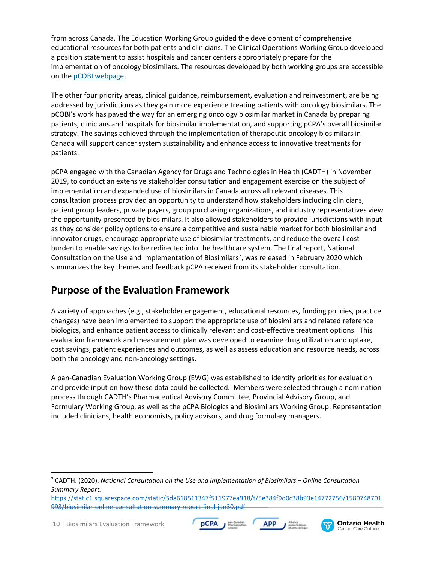from across Canada. The Education Working Group guided the development of comprehensive educational resources for both patients and clinicians. The Clinical Operations Working Group developed a position statement to assist hospitals and cancer centers appropriately prepare for the implementation of oncology biosimilars. The resources developed by both working groups are accessible on the [pCOBI webpage.](https://www.cancercareontario.ca/en/programs/provincial-drug-reimbursement/oncology-biosimilars-initiative)

The other four priority areas, clinical guidance, reimbursement, evaluation and reinvestment, are being addressed by jurisdictions as they gain more experience treating patients with oncology biosimilars. The pCOBI's work has paved the way for an emerging oncology biosimilar market in Canada by preparing patients, clinicians and hospitals for biosimilar implementation, and supporting pCPA's overall biosimilar strategy. The savings achieved through the implementation of therapeutic oncology biosimilars in Canada will support cancer system sustainability and enhance access to innovative treatments for patients.

pCPA engaged with the Canadian Agency for Drugs and Technologies in Health (CADTH) in November 2019, to conduct an extensive stakeholder consultation and engagement exercise on the subject of implementation and expanded use of biosimilars in Canada across all relevant diseases. This consultation process provided an opportunity to understand how stakeholders including clinicians, patient group leaders, private payers, group purchasing organizations, and industry representatives view the opportunity presented by biosimilars. It also allowed stakeholders to provide jurisdictions with input as they consider policy options to ensure a competitive and sustainable market for both biosimilar and innovator drugs, encourage appropriate use of biosimilar treatments, and reduce the overall cost burden to enable savings to be redirected into the healthcare system. The final report, National Consultation on the Use and Implementation of Biosimilars<sup>[7](#page-9-0)</sup>, was released in February 2020 which summarizes the key themes and feedback pCPA received from its stakeholder consultation.

## **Purpose of the Evaluation Framework**

A variety of approaches (e.g., stakeholder engagement, educational resources, funding policies, practice changes) have been implemented to support the appropriate use of biosimilars and related reference biologics, and enhance patient access to clinically relevant and cost-effective treatment options. This evaluation framework and measurement plan was developed to examine drug utilization and uptake, cost savings, patient experiences and outcomes, as well as assess education and resource needs, across both the oncology and non-oncology settings.

A pan-Canadian Evaluation Working Group (EWG) was established to identify priorities for evaluation and provide input on how these data could be collected. Members were selected through a nomination process through CADTH's Pharmaceutical Advisory Committee, Provincial Advisory Group, and Formulary Working Group, as well as the pCPA Biologics and Biosimilars Working Group. Representation included clinicians, health economists, policy advisors, and drug formulary managers.





<span id="page-9-0"></span> <sup>7</sup> CADTH. (2020). *National Consultation on the Use and Implementation of Biosimilars – Online Consultation Summary Report.*

[https://static1.squarespace.com/static/5da618511347f511977ea918/t/5e384f9d0c38b93e14772756/1580748701](https://static1.squarespace.com/static/5da618511347f511977ea918/t/5e384f9d0c38b93e14772756/1580748701993/biosimilar-online-consultation-summary-report-final-jan30.pdf) [993/biosimilar-online-consultation-summary-report-final-jan30.pdf](https://static1.squarespace.com/static/5da618511347f511977ea918/t/5e384f9d0c38b93e14772756/1580748701993/biosimilar-online-consultation-summary-report-final-jan30.pdf)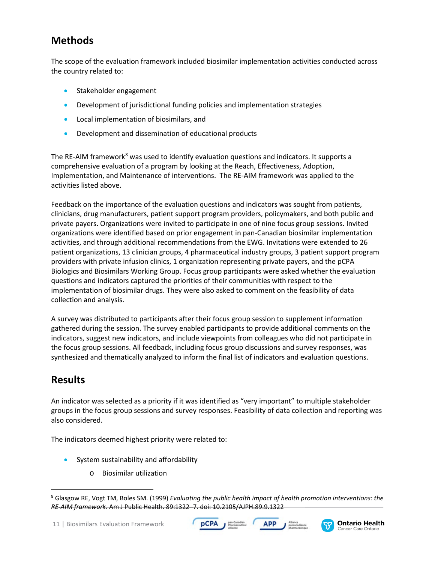## **Methods**

The scope of the evaluation framework included biosimilar implementation activities conducted across the country related to:

- Stakeholder engagement
- Development of jurisdictional funding policies and implementation strategies
- Local implementation of biosimilars, and
- Development and dissemination of educational products

The RE-AIM framework<sup>[8](#page-10-0)</sup> was used to identify evaluation questions and indicators. It supports a comprehensive evaluation of a program by looking at the Reach, Effectiveness, Adoption, Implementation, and Maintenance of interventions. The RE-AIM framework was applied to the activities listed above.

Feedback on the importance of the evaluation questions and indicators was sought from patients, clinicians, drug manufacturers, patient support program providers, policymakers, and both public and private payers. Organizations were invited to participate in one of nine focus group sessions. Invited organizations were identified based on prior engagement in pan-Canadian biosimilar implementation activities, and through additional recommendations from the EWG. Invitations were extended to 26 patient organizations, 13 clinician groups, 4 pharmaceutical industry groups, 3 patient support program providers with private infusion clinics, 1 organization representing private payers, and the pCPA Biologics and Biosimilars Working Group. Focus group participants were asked whether the evaluation questions and indicators captured the priorities of their communities with respect to the implementation of biosimilar drugs. They were also asked to comment on the feasibility of data collection and analysis.

A survey was distributed to participants after their focus group session to supplement information gathered during the session. The survey enabled participants to provide additional comments on the indicators, suggest new indicators, and include viewpoints from colleagues who did not participate in the focus group sessions. All feedback, including focus group discussions and survey responses, was synthesized and thematically analyzed to inform the final list of indicators and evaluation questions.

## **Results**

An indicator was selected as a priority if it was identified as "very important" to multiple stakeholder groups in the focus group sessions and survey responses. Feasibility of data collection and reporting was also considered.

The indicators deemed highest priority were related to:

- System sustainability and affordability
	- o Biosimilar utilization





<span id="page-10-0"></span> <sup>8</sup> Glasgow RE, Vogt TM, Boles SM. (1999) *Evaluating the public health impact of health promotion interventions: the RE-AIM framework*. Am J Public Health. 89:1322–7. doi: 10.2105/AJPH.89.9.1322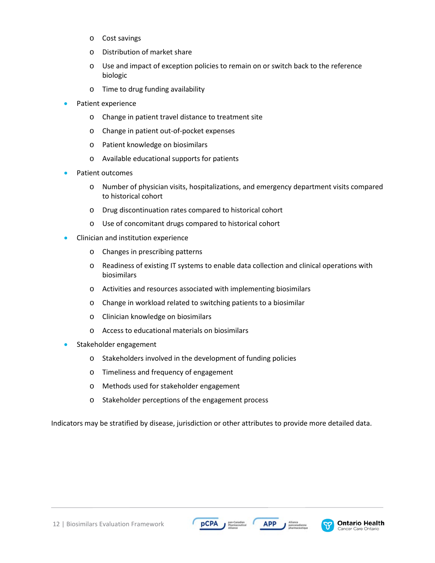- o Cost savings
- o Distribution of market share
- o Use and impact of exception policies to remain on or switch back to the reference biologic
- o Time to drug funding availability
- Patient experience
	- o Change in patient travel distance to treatment site
	- o Change in patient out-of-pocket expenses
	- o Patient knowledge on biosimilars
	- o Available educational supports for patients
- Patient outcomes
	- o Number of physician visits, hospitalizations, and emergency department visits compared to historical cohort
	- o Drug discontinuation rates compared to historical cohort
	- o Use of concomitant drugs compared to historical cohort
- Clinician and institution experience
	- o Changes in prescribing patterns
	- o Readiness of existing IT systems to enable data collection and clinical operations with biosimilars
	- o Activities and resources associated with implementing biosimilars
	- o Change in workload related to switching patients to a biosimilar
	- o Clinician knowledge on biosimilars
	- o Access to educational materials on biosimilars
- Stakeholder engagement
	- o Stakeholders involved in the development of funding policies
	- o Timeliness and frequency of engagement
	- o Methods used for stakeholder engagement
	- o Stakeholder perceptions of the engagement process

Indicators may be stratified by disease, jurisdiction or other attributes to provide more detailed data.